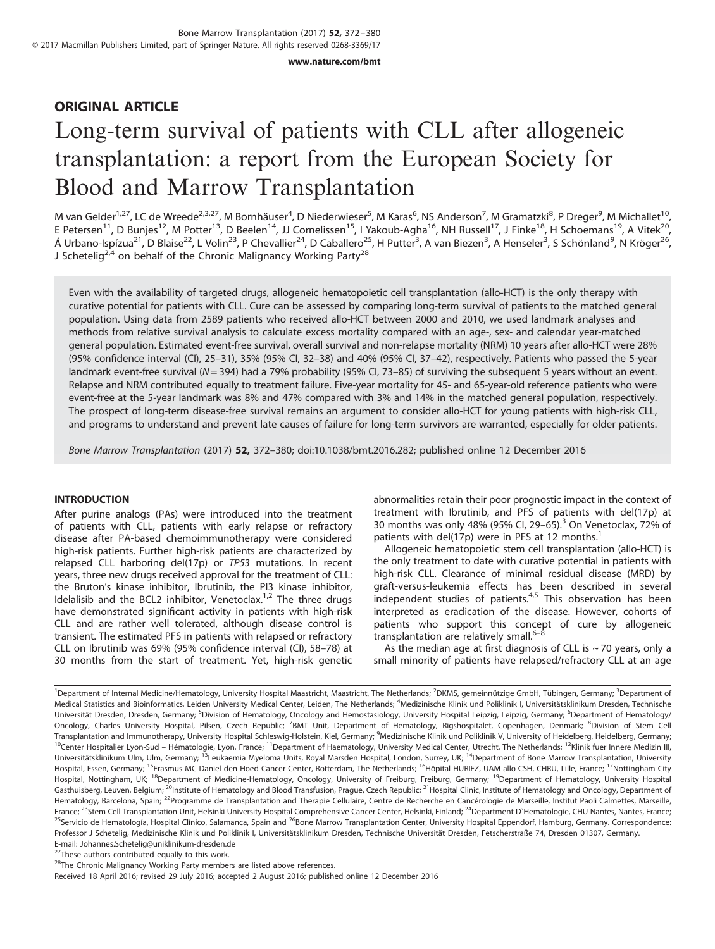[www.nature.com/bmt](http://www.nature.com/bmt)

# ORIGINAL ARTICLE Long-term survival of patients with CLL after allogeneic transplantation: a report from the European Society for Blood and Marrow Transplantation

M van Gelder<sup>1,27</sup>, LC de Wreede<sup>2,3,27</sup>, M Bornhäuser<sup>4</sup>, D Niederwieser<sup>5</sup>, M Karas<sup>6</sup>, NS Anderson<sup>7</sup>, M Gramatzki<sup>8</sup>, P Dreger<sup>9</sup>, M Michallet<sup>10</sup>, E Petersen<sup>11</sup>, D Bunjes<sup>12</sup>, M Potter<sup>13</sup>, D Beelen<sup>14</sup>, JJ Cornelissen<sup>15</sup>, I Yakoub-Agha<sup>16</sup>, NH Russell<sup>17</sup>, J Finke<sup>18</sup>, H Schoemans<sup>19</sup>, A Vitek<sup>20</sup>, Á Urbano-Ispízua<sup>21</sup>, D Blaise<sup>22</sup>, L Volin<sup>23</sup>, P Chevallier<sup>24</sup>, D Caballero<sup>25</sup>, H Putter<sup>3</sup>, A van Biezen<sup>3</sup>, A Henseler<sup>3</sup>, S Schönland<sup>9</sup>, N Kröger<sup>26</sup>, J Schetelig<sup>2,4</sup> on behalf of the Chronic Malignancy Working Party<sup>28</sup>

Even with the availability of targeted drugs, allogeneic hematopoietic cell transplantation (allo-HCT) is the only therapy with curative potential for patients with CLL. Cure can be assessed by comparing long-term survival of patients to the matched general population. Using data from 2589 patients who received allo-HCT between 2000 and 2010, we used landmark analyses and methods from relative survival analysis to calculate excess mortality compared with an age-, sex- and calendar year-matched general population. Estimated event-free survival, overall survival and non-relapse mortality (NRM) 10 years after allo-HCT were 28% (95% confidence interval (CI), 25–31), 35% (95% CI, 32–38) and 40% (95% CI, 37–42), respectively. Patients who passed the 5-year landmark event-free survival (N = 394) had a 79% probability (95% CI, 73–85) of surviving the subsequent 5 years without an event. Relapse and NRM contributed equally to treatment failure. Five-year mortality for 45- and 65-year-old reference patients who were event-free at the 5-year landmark was 8% and 47% compared with 3% and 14% in the matched general population, respectively. The prospect of long-term disease-free survival remains an argument to consider allo-HCT for young patients with high-risk CLL, and programs to understand and prevent late causes of failure for long-term survivors are warranted, especially for older patients.

Bone Marrow Transplantation (2017) 52, 372–380; doi:[10.1038/bmt.2016.282;](http://dx.doi.org/10.1038/bmt.2016.282) published online 12 December 2016

# INTRODUCTION

After purine analogs (PAs) were introduced into the treatment of patients with CLL, patients with early relapse or refractory disease after PA-based chemoimmunotherapy were considered high-risk patients. Further high-risk patients are characterized by relapsed CLL harboring del(17p) or TP53 mutations. In recent years, three new drugs received approval for the treatment of CLL: the Bruton's kinase inhibitor, Ibrutinib, the PI3 kinase inhibitor, Idelalisib and the BCL2 inhibitor, Venetoclax.<sup>[1](#page-7-0),[2](#page-7-0)</sup> The three drugs have demonstrated significant activity in patients with high-risk CLL and are rather well tolerated, although disease control is transient. The estimated PFS in patients with relapsed or refractory CLL on Ibrutinib was 69% (95% confidence interval (CI), 58–78) at 30 months from the start of treatment. Yet, high-risk genetic abnormalities retain their poor prognostic impact in the context of treatment with Ibrutinib, and PFS of patients with del(17p) at 30 months was only 48% (95% CI, 29–65).[3](#page-7-0) On Venetoclax, 72% of patients with del([1](#page-7-0)7p) were in PFS at 12 months.<sup>1</sup>

Allogeneic hematopoietic stem cell transplantation (allo-HCT) is the only treatment to date with curative potential in patients with high-risk CLL. Clearance of minimal residual disease (MRD) by graft-versus-leukemia effects has been described in several independent studies of patients.<sup>[4,5](#page-7-0)</sup> This observation has been interpreted as eradication of the disease. However, cohorts of patients who support this concept of cure by allogeneic transplantation are relatively small. $6-8$  $6-8$ 

As the median age at first diagnosis of CLL is  $\sim$  70 years, only a small minority of patients have relapsed/refractory CLL at an age

 $7$ These authors contributed equally to this work.

 $^{28}$ The Chronic Malignancy Working Party members are listed above references.

Received 18 April 2016; revised 29 July 2016; accepted 2 August 2016; published online 12 December 2016

<sup>&</sup>lt;sup>1</sup>Department of Internal Medicine/Hematology, University Hospital Maastricht, Maastricht, The Netherlands; <sup>2</sup>DKMS, gemeinnützige GmbH, Tübingen, Germany; <sup>3</sup>Department of Medical Statistics and Bioinformatics, Leiden University Medical Center, Leiden, The Netherlands; <sup>4</sup>Medizinische Klinik und Poliklinik I, Universitätsklinikum Dresden, Technische Universität Dresden, Dresden, Germany; <sup>5</sup>Division of Hematology, Oncology and Hemostasiology, University Hospital Leipzig, Leipzig, Germany; <sup>6</sup>Department of Hematology, Oncology, Charles University Hospital, Pilsen, Czech Republic; <sup>7</sup>BMT Unit, Department of Hematology, Rigshospitalet, Copenhagen, Denmark; <sup>8</sup>Division of Stem Cell Transplantation and Immunotherapy, University Hospital Schleswig-Holstein, Kiel, Germany; <sup>9</sup>Medizinische Klinik und Poliklinik V, University of Heidelberg, Heidelberg, Germany; <sup>10</sup>Center Hospitalier Lyon-Sud - Hématologie, Lyon, France; <sup>11</sup>Department of Haematology, University Medical Center, Utrecht, The Netherlands; <sup>12</sup>Klinik fuer Innere Medizin III, Universitätsklinikum Ulm, Ulm, Germany; <sup>13</sup>Leukaemia Myeloma Units, Royal Marsden Hospital, London, Surrey, UK; <sup>14</sup>Department of Bone Marrow Transplantation, University Hospital, Essen, Germany; <sup>15</sup>Erasmus MC-Daniel den Hoed Cancer Center, Rotterdam, The Netherlands; <sup>16</sup>Hôpital HURIEZ, UAM allo-CSH, CHRU, Lille, France; <sup>17</sup>Nottingham City Hospital, Nottingham, UK; <sup>18</sup>Department of Medicine-Hematology, Oncology, University of Freiburg, Freiburg, Germany; <sup>19</sup>Department of Hematology, University Hospital Gasthuisberg, Leuven, Belgium; <sup>20</sup>Institute of Hematology and Blood Transfusion, Prague, Czech Republic; <sup>21</sup>Hospital Clinic, Institute of Hematology and Oncology, Department of Hematology, Barcelona, Spain; <sup>22</sup>Programme de Transplantation and Therapie Cellulaire, Centre de Recherche en Cancérologie de Marseille, Institut Paoli Calmettes, Marseille, France; <sup>23</sup>Stem Cell Transplantation Unit, Helsinki University Hospital Comprehensive Cancer Center, Helsinki, Finland; <sup>24</sup>Department D`Hematologie, CHU Nantes, Nantes, France; <sup>25</sup>Servicio de Hematología, Hospital Clínico, Salamanca, Spain and <sup>26</sup>Bone Marrow Transplantation Center, University Hospital Eppendorf, Hamburg, Germany. Correspondence: Professor J Schetelig, Medizinische Klinik und Poliklinik I, Universitätsklinikum Dresden, Technische Universität Dresden, Fetscherstraße 74, Dresden 01307, Germany. E-mail: [Johannes.Schetelig@uniklinikum-dresden.de](mailto:Johannes.Schetelig@uniklinikum-dresden.de)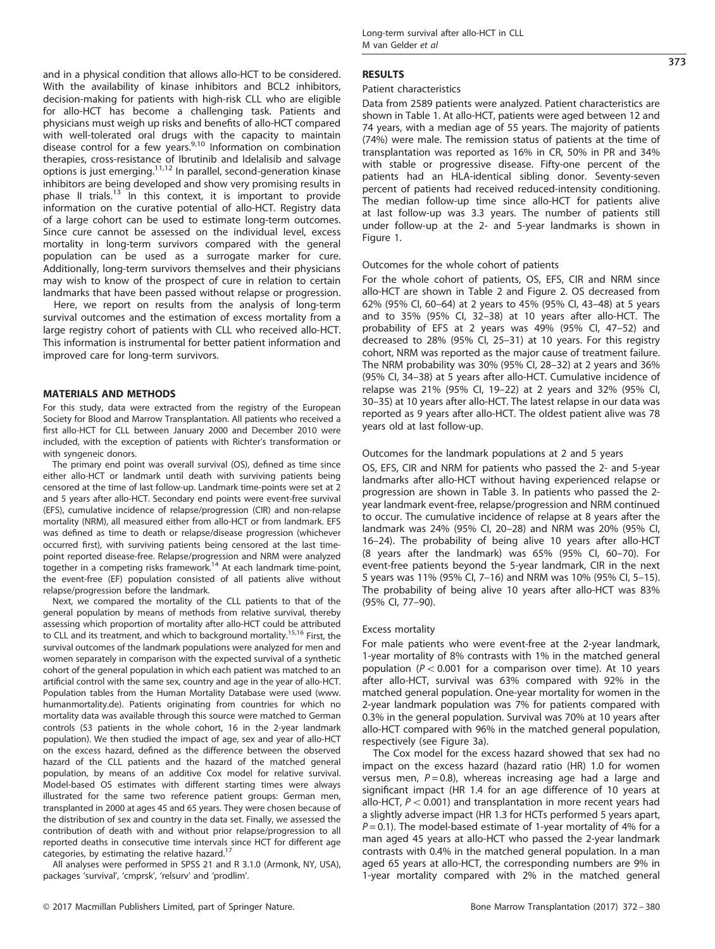and in a physical condition that allows allo-HCT to be considered. With the availability of kinase inhibitors and BCL2 inhibitors, decision-making for patients with high-risk CLL who are eligible for allo-HCT has become a challenging task. Patients and physicians must weigh up risks and benefits of allo-HCT compared with well-tolerated oral drugs with the capacity to maintain disease control for a few years. $9,10$  Information on combination therapies, cross-resistance of Ibrutinib and Idelalisib and salvage<br>options is just emerging.<sup>[11,12](#page-7-0)</sup> In parallel, second-generation kinase inhibitors are being developed and show very promising results in phase II trials.<sup>[13](#page-7-0)</sup> In this context, it is important to provide information on the curative potential of allo-HCT. Registry data of a large cohort can be used to estimate long-term outcomes. Since cure cannot be assessed on the individual level, excess mortality in long-term survivors compared with the general population can be used as a surrogate marker for cure. Additionally, long-term survivors themselves and their physicians may wish to know of the prospect of cure in relation to certain landmarks that have been passed without relapse or progression.

Here, we report on results from the analysis of long-term survival outcomes and the estimation of excess mortality from a large registry cohort of patients with CLL who received allo-HCT. This information is instrumental for better patient information and improved care for long-term survivors.

### MATERIALS AND METHODS

For this study, data were extracted from the registry of the European Society for Blood and Marrow Transplantation. All patients who received a first allo-HCT for CLL between January 2000 and December 2010 were included, with the exception of patients with Richter's transformation or with syngeneic donors.

The primary end point was overall survival (OS), defined as time since either allo-HCT or landmark until death with surviving patients being censored at the time of last follow-up. Landmark time-points were set at 2 and 5 years after allo-HCT. Secondary end points were event-free survival (EFS), cumulative incidence of relapse/progression (CIR) and non-relapse mortality (NRM), all measured either from allo-HCT or from landmark. EFS was defined as time to death or relapse/disease progression (whichever occurred first), with surviving patients being censored at the last timepoint reported disease-free. Relapse/progression and NRM were analyzed together in a competing risks framework.[14](#page-7-0) At each landmark time-point, the event-free (EF) population consisted of all patients alive without relapse/progression before the landmark.

Next, we compared the mortality of the CLL patients to that of the general population by means of methods from relative survival, thereby assessing which proportion of mortality after allo-HCT could be attributed to CLL and its treatment, and which to background mortality.<sup>[15,16](#page-7-0)</sup> First, the survival outcomes of the landmark populations were analyzed for men and women separately in comparison with the expected survival of a synthetic cohort of the general population in which each patient was matched to an artificial control with the same sex, country and age in the year of allo-HCT. Population tables from the Human Mortality Database were used ([www.](www.humanmortality.de) [humanmortality.de](www.humanmortality.de)). Patients originating from countries for which no mortality data was available through this source were matched to German controls (53 patients in the whole cohort, 16 in the 2-year landmark population). We then studied the impact of age, sex and year of allo-HCT on the excess hazard, defined as the difference between the observed hazard of the CLL patients and the hazard of the matched general population, by means of an additive Cox model for relative survival. Model-based OS estimates with different starting times were always illustrated for the same two reference patient groups: German men, transplanted in 2000 at ages 45 and 65 years. They were chosen because of the distribution of sex and country in the data set. Finally, we assessed the contribution of death with and without prior relapse/progression to all reported deaths in consecutive time intervals since HCT for different age categories, by estimating the relative hazard.<sup>17</sup>

All analyses were performed in SPSS 21 and R 3.1.0 (Armonk, NY, USA), packages 'survival', 'cmprsk', 'relsurv' and 'prodlim'.

## **RESULTS**

# Patient characteristics

Data from 2589 patients were analyzed. Patient characteristics are shown in [Table 1](#page-2-0). At allo-HCT, patients were aged between 12 and 74 years, with a median age of 55 years. The majority of patients (74%) were male. The remission status of patients at the time of transplantation was reported as 16% in CR, 50% in PR and 34% with stable or progressive disease. Fifty-one percent of the patients had an HLA-identical sibling donor. Seventy-seven percent of patients had received reduced-intensity conditioning. The median follow-up time since allo-HCT for patients alive at last follow-up was 3.3 years. The number of patients still under follow-up at the 2- and 5-year landmarks is shown in [Figure 1.](#page-2-0)

# Outcomes for the whole cohort of patients

For the whole cohort of patients, OS, EFS, CIR and NRM since allo-HCT are shown in [Table 2](#page-3-0) and [Figure 2](#page-3-0). OS decreased from 62% (95% CI, 60–64) at 2 years to 45% (95% CI, 43–48) at 5 years and to 35% (95% CI, 32–38) at 10 years after allo-HCT. The probability of EFS at 2 years was 49% (95% CI, 47–52) and decreased to 28% (95% CI, 25–31) at 10 years. For this registry cohort, NRM was reported as the major cause of treatment failure. The NRM probability was 30% (95% CI, 28–32) at 2 years and 36% (95% CI, 34–38) at 5 years after allo-HCT. Cumulative incidence of relapse was 21% (95% CI, 19–22) at 2 years and 32% (95% CI, 30–35) at 10 years after allo-HCT. The latest relapse in our data was reported as 9 years after allo-HCT. The oldest patient alive was 78 years old at last follow-up.

# Outcomes for the landmark populations at 2 and 5 years

OS, EFS, CIR and NRM for patients who passed the 2- and 5-year landmarks after allo-HCT without having experienced relapse or progression are shown in [Table 3](#page-4-0). In patients who passed the 2 year landmark event-free, relapse/progression and NRM continued to occur. The cumulative incidence of relapse at 8 years after the landmark was 24% (95% CI, 20–28) and NRM was 20% (95% CI, 16–24). The probability of being alive 10 years after allo-HCT (8 years after the landmark) was 65% (95% CI, 60–70). For event-free patients beyond the 5-year landmark, CIR in the next 5 years was 11% (95% CI, 7–16) and NRM was 10% (95% CI, 5–15). The probability of being alive 10 years after allo-HCT was 83% (95% CI, 77–90).

#### Excess mortality

For male patients who were event-free at the 2-year landmark, 1-year mortality of 8% contrasts with 1% in the matched general population ( $P < 0.001$  for a comparison over time). At 10 years after allo-HCT, survival was 63% compared with 92% in the matched general population. One-year mortality for women in the 2-year landmark population was 7% for patients compared with 0.3% in the general population. Survival was 70% at 10 years after allo-HCT compared with 96% in the matched general population, respectively (see [Figure 3a\)](#page-5-0).

The Cox model for the excess hazard showed that sex had no impact on the excess hazard (hazard ratio (HR) 1.0 for women versus men,  $P = 0.8$ ), whereas increasing age had a large and significant impact (HR 1.4 for an age difference of 10 years at allo-HCT,  $P < 0.001$ ) and transplantation in more recent years had a slightly adverse impact (HR 1.3 for HCTs performed 5 years apart,  $P = 0.1$ ). The model-based estimate of 1-year mortality of 4% for a man aged 45 years at allo-HCT who passed the 2-year landmark contrasts with 0.4% in the matched general population. In a man aged 65 years at allo-HCT, the corresponding numbers are 9% in 1-year mortality compared with 2% in the matched general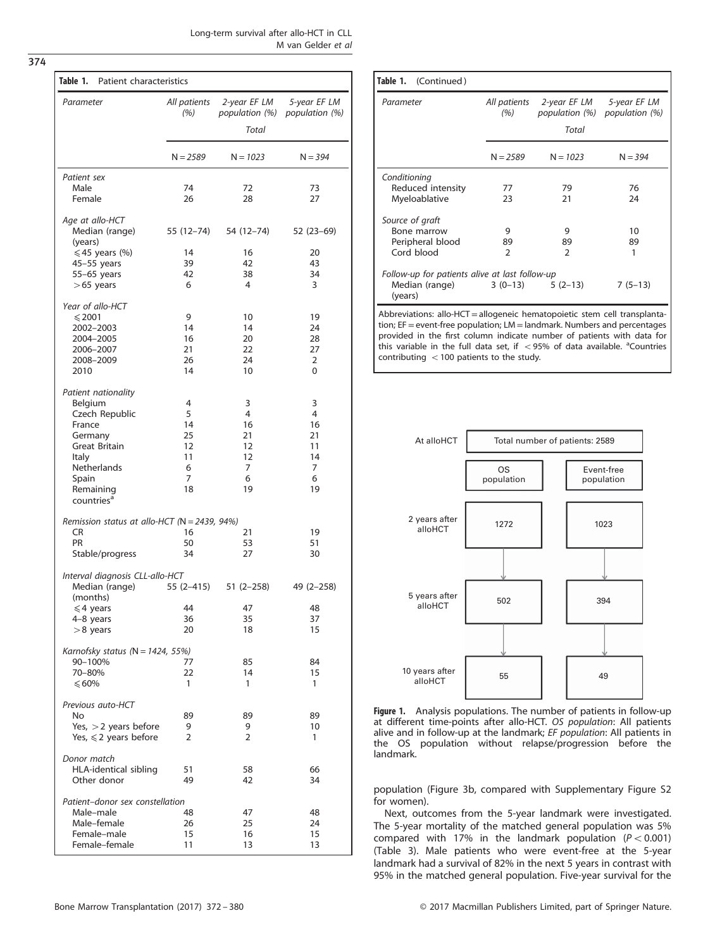# Long-term survival after allo-HCT in CLL M van Gelder et al

<span id="page-2-0"></span>374

| Parameter                                        | (% )       | All patients 2-year EF LM<br>Total | 5-year EF LM<br>population (%) population (%) |  |
|--------------------------------------------------|------------|------------------------------------|-----------------------------------------------|--|
|                                                  | $N = 2589$ | $N = 1023$                         | $N = 394$                                     |  |
| Patient sex                                      |            |                                    |                                               |  |
| Male                                             | 74         | 72                                 | 73                                            |  |
| Female                                           | 26         | 28                                 | 27                                            |  |
| Age at allo-HCT                                  |            |                                    |                                               |  |
| Median (range)                                   | 55 (12–74) | 54 (12–74)                         | 52 (23–69)                                    |  |
| (years)                                          |            |                                    |                                               |  |
| $\leq 45$ years (%)                              | 14         | 16                                 | 20                                            |  |
| 45-55 years                                      | 39         | 42                                 | 43                                            |  |
| 55-65 years                                      | 42         | 38                                 | 34                                            |  |
| $>65$ years                                      | 6          | 4                                  | 3                                             |  |
| Year of allo-HCT                                 |            |                                    |                                               |  |
| $\leqslant$ 2001                                 | 9          | 10                                 | 19                                            |  |
| 2002-2003                                        | 14         | 14                                 | 24                                            |  |
| 2004-2005                                        | 16         | 20                                 | 28                                            |  |
| 2006-2007                                        | 21         | 22                                 | 27                                            |  |
| 2008-2009                                        | 26<br>14   | 24<br>10                           | 2<br>0                                        |  |
| 2010                                             |            |                                    |                                               |  |
| Patient nationality                              |            |                                    |                                               |  |
| Belgium                                          | 4          | 3                                  | 3                                             |  |
| Czech Republic                                   | 5          | 4                                  | 4                                             |  |
| France                                           | 14         | 16                                 | 16                                            |  |
| Germany<br><b>Great Britain</b>                  | 25<br>12   | 21<br>12                           | 21<br>11                                      |  |
| Italy                                            | 11         | 12                                 | 14                                            |  |
| Netherlands                                      | 6          | 7                                  | 7                                             |  |
| Spain                                            | 7          | 6                                  | 6                                             |  |
| Remaining                                        | 18         | 19                                 | 19                                            |  |
| countries <sup>a</sup>                           |            |                                    |                                               |  |
| Remission status at allo-HCT ( $N = 2439$ , 94%) |            |                                    |                                               |  |
| CR.                                              | 16         | 21                                 | 19                                            |  |
| PR                                               | 50         | 53                                 | 51                                            |  |
| Stable/progress                                  | 34         | 27                                 | 30                                            |  |
| Interval diagnosis CLL-allo-HCT                  |            |                                    |                                               |  |
| Median (range)                                   |            | 55 (2-415) 51 (2-258)              | $49(2 - 258)$                                 |  |
| (months)                                         |            |                                    |                                               |  |
| $\leqslant$ 4 years                              | 44         | 47                                 | 48                                            |  |
| 4–8 years                                        | 36         | 35                                 | 37                                            |  |
| $>8$ years                                       | 20         | 18                                 | 15                                            |  |
| Karnofsky status ( $N = 1424$ , 55%)             |            |                                    |                                               |  |
| 90-100%                                          | 77         | 85                                 | 84                                            |  |
| 70-80%                                           | 22         | 14                                 | 15                                            |  |
| $\leq 60\%$                                      | 1          | 1                                  | 1                                             |  |
| Previous auto-HCT                                |            |                                    |                                               |  |
| No                                               | 89         | 89                                 | 89                                            |  |
| Yes, $>$ 2 years before                          | 9          | 9                                  | 10                                            |  |
| Yes, $\leq 2$ years before                       | 2          | 2                                  | 1                                             |  |
| Donor match                                      |            |                                    |                                               |  |
| HLA-identical sibling                            | 51         | 58                                 | 66                                            |  |
| Other donor                                      | 49         | 42                                 | 34                                            |  |
| Patient-donor sex constellation                  |            |                                    |                                               |  |
| Male-male                                        | 48         | 47                                 | 48                                            |  |
| Male-female                                      | 26         | 25                                 | 24                                            |  |
| Female-male                                      | 15         | 16                                 | 15                                            |  |
| Female-female                                    | 11         | 13                                 | 13                                            |  |

| Table 1. (Continued)                                                                                                                                  |                           |                                                      |                                |  |  |
|-------------------------------------------------------------------------------------------------------------------------------------------------------|---------------------------|------------------------------------------------------|--------------------------------|--|--|
| Parameter                                                                                                                                             | (% )                      | All patients 2-year EF LM<br>population (%)<br>Total | 5-year EF LM<br>population (%) |  |  |
|                                                                                                                                                       | $N = 2589$                | $N = 1023$                                           | $N = 394$                      |  |  |
| Conditioning<br>Reduced intensity<br>Myeloablative                                                                                                    | 77<br>23                  | 79<br>21                                             | 76<br>24                       |  |  |
| Source of graft<br>Bone marrow<br>Peripheral blood<br>Cord blood                                                                                      | 9<br>89<br>$\mathfrak{p}$ | 9<br>89<br>$\mathcal{P}$                             | 10<br>89<br>1                  |  |  |
| Follow-up for patients alive at last follow-up<br>$7(5-13)$<br>Median (range)<br>$3(0-13)$<br>$5(2-13)$<br>(years)                                    |                           |                                                      |                                |  |  |
| Abbreviations: allo-HCT = allogeneic hematopoietic stem cell transplanta-<br>tion; EF = event-free population; LM = landmark. Numbers and percentages |                           |                                                      |                                |  |  |

tion; EF = event-free population; LM = landmark. Numbers and percentages provided in the first column indicate number of patients with data for this variable in the full data set, if  $<$  95% of data available. <sup>a</sup>Countries contributing  $<$  100 patients to the study.



Figure 1. Analysis populations. The number of patients in follow-up at different time-points after allo-HCT. OS population: All patients alive and in follow-up at the landmark; EF population: All patients in the OS population without relapse/progression before the landmark.

population [\(Figure 3b](#page-5-0), compared with Supplementary Figure S2 for women).

Next, outcomes from the 5-year landmark were investigated. The 5-year mortality of the matched general population was 5% compared with 17% in the landmark population  $(P < 0.001)$ ([Table 3\)](#page-4-0). Male patients who were event-free at the 5-year landmark had a survival of 82% in the next 5 years in contrast with 95% in the matched general population. Five-year survival for the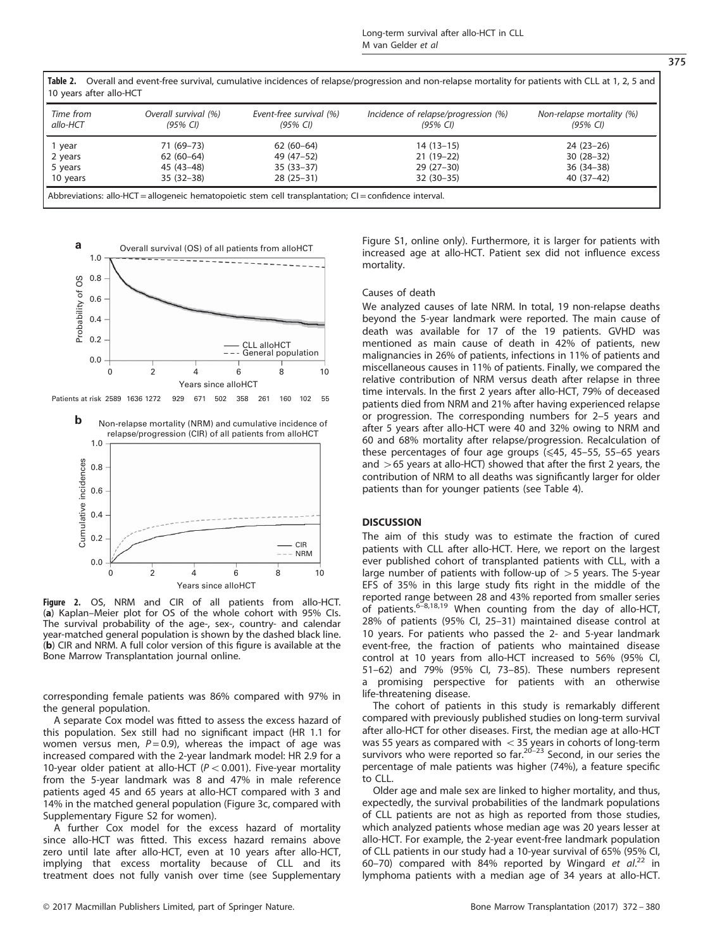<span id="page-3-0"></span>

| Time from | Overall survival (%) | Event-free survival (%) | Incidence of relapse/progression (%) | Non-relapse mortality (%) |
|-----------|----------------------|-------------------------|--------------------------------------|---------------------------|
| allo-HCT  | (95% CI)             | (95% CI)                | (95% CI)                             | (95% CI)                  |
| 1 year    | 71 (69–73)           | $62(60-64)$             | $14(13-15)$                          | $24(23-26)$               |
| 2 years   | $62(60-64)$          | 49 (47 - 52)            | $21(19-22)$                          | $30(28-32)$               |
| 5 years   | 45 (43-48)           | $35(33-37)$             | $29(27-30)$                          | $36(34-38)$               |
| 10 years  | $35(32-38)$          | $28(25-31)$             | $32(30-35)$                          | 40 (37-42)                |



Patients at risk 2589 1636 1272 929 671 502 358 261 160 102 55



Figure 2. OS, NRM and CIR of all patients from allo-HCT. (a) Kaplan–Meier plot for OS of the whole cohort with 95% CIs. The survival probability of the age-, sex-, country- and calendar year-matched general population is shown by the dashed black line. (b) CIR and NRM. A full color version of this figure is available at the Bone Marrow Transplantation journal online.

corresponding female patients was 86% compared with 97% in the general population.

A separate Cox model was fitted to assess the excess hazard of this population. Sex still had no significant impact (HR 1.1 for women versus men,  $P = 0.9$ ), whereas the impact of age was increased compared with the 2-year landmark model: HR 2.9 for a 10-year older patient at allo-HCT ( $P < 0.001$ ). Five-year mortality from the 5-year landmark was 8 and 47% in male reference patients aged 45 and 65 years at allo-HCT compared with 3 and 14% in the matched general population [\(Figure 3c](#page-5-0), compared with Supplementary Figure S2 for women).

A further Cox model for the excess hazard of mortality since allo-HCT was fitted. This excess hazard remains above zero until late after allo-HCT, even at 10 years after allo-HCT, implying that excess mortality because of CLL and its treatment does not fully vanish over time (see Supplementary Figure S1, online only). Furthermore, it is larger for patients with increased age at allo-HCT. Patient sex did not influence excess mortality.

#### Causes of death

We analyzed causes of late NRM. In total, 19 non-relapse deaths beyond the 5-year landmark were reported. The main cause of death was available for 17 of the 19 patients. GVHD was mentioned as main cause of death in 42% of patients, new malignancies in 26% of patients, infections in 11% of patients and miscellaneous causes in 11% of patients. Finally, we compared the relative contribution of NRM versus death after relapse in three time intervals. In the first 2 years after allo-HCT, 79% of deceased patients died from NRM and 21% after having experienced relapse or progression. The corresponding numbers for 2–5 years and after 5 years after allo-HCT were 40 and 32% owing to NRM and 60 and 68% mortality after relapse/progression. Recalculation of these percentages of four age groups  $(\leq 45, 45-55, 55-65, 98)$ and  $>$  65 years at allo-HCT) showed that after the first 2 years, the contribution of NRM to all deaths was significantly larger for older patients than for younger patients (see [Table 4\)](#page-5-0).

# **DISCUSSION**

The aim of this study was to estimate the fraction of cured patients with CLL after allo-HCT. Here, we report on the largest ever published cohort of transplanted patients with CLL, with a large number of patients with follow-up of  $>$  5 years. The 5-year EFS of 35% in this large study fits right in the middle of the reported ra[nge](#page-7-0) between 28 and 43% reported from smaller series of patients. $6-8,18,19$  $6-8,18,19$  When counting from the day of allo-HCT, 28% of patients (95% CI, 25–31) maintained disease control at 10 years. For patients who passed the 2- and 5-year landmark event-free, the fraction of patients who maintained disease control at 10 years from allo-HCT increased to 56% (95% CI, 51–62) and 79% (95% CI, 73–85). These numbers represent a promising perspective for patients with an otherwise life-threatening disease.

The cohort of patients in this study is remarkably different compared with previously published studies on long-term survival after allo-HCT for other diseases. First, the median age at allo-HCT was 5[5 yea](#page-7-0)rs as compared with  $<$  35 years in cohorts of long-term survivors who were reported so far.<sup>20–23</sup> Second, in our series the percentage of male patients was higher (74%), a feature specific to CLL.

Older age and male sex are linked to higher mortality, and thus, expectedly, the survival probabilities of the landmark populations of CLL patients are not as high as reported from those studies, which analyzed patients whose median age was 20 years lesser at allo-HCT. For example, the 2-year event-free landmark population of CLL patients in our study had a 10-year survival of 65% (95% CI, 60-70) compared with  $84%$  reported by Wingard et  $al.^{22}$  $al.^{22}$  $al.^{22}$  in lymphoma patients with a median age of 34 years at allo-HCT.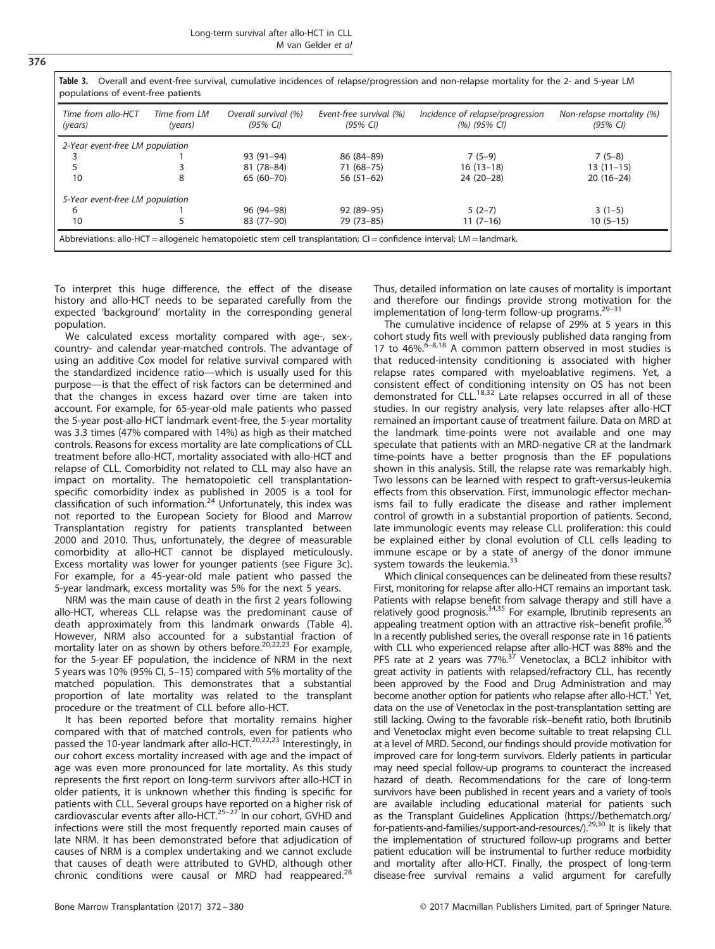<span id="page-4-0"></span>376

| Table 3. Overall and event-free survival, cumulative incidences of relapse/progression and non-relapse mortality for the 2- and 5-year LM |
|-------------------------------------------------------------------------------------------------------------------------------------------|
| populations of event-free patients                                                                                                        |

| Time from allo-HCT<br>(years)   | Time from LM<br>(years) | Overall survival (%)<br>(95% CI) | Event-free survival (%)<br>(95% CI) | Incidence of relapse/progression<br>(%) (95% CI) | Non-relapse mortality (%)<br>(95% CI) |  |
|---------------------------------|-------------------------|----------------------------------|-------------------------------------|--------------------------------------------------|---------------------------------------|--|
| 2-Year event-free LM population |                         |                                  |                                     |                                                  |                                       |  |
|                                 |                         | 93 (91-94)                       | 86 (84-89)                          | $7(5-9)$                                         | $7(5-8)$                              |  |
|                                 |                         | 81 (78-84)                       | $71(68 - 75)$                       | $16(13-18)$                                      | $13(11-15)$                           |  |
| 10                              | 8                       | 65 (60-70)                       | $56(51-62)$                         | 24 (20-28)                                       | $20(16-24)$                           |  |
| 5-Year event-free LM population |                         |                                  |                                     |                                                  |                                       |  |
| 6                               |                         | 96 (94-98)                       | 92 (89-95)                          | $5(2-7)$                                         | $3(1-5)$                              |  |
| 10                              |                         | 83 (77-90)                       | 79 (73-85)                          | $11(7-16)$                                       | $10(5-15)$                            |  |

To interpret this huge difference, the effect of the disease history and allo-HCT needs to be separated carefully from the expected 'background' mortality in the corresponding general population.

We calculated excess mortality compared with age-, sex-, country- and calendar year-matched controls. The advantage of using an additive Cox model for relative survival compared with the standardized incidence ratio—which is usually used for this purpose—is that the effect of risk factors can be determined and that the changes in excess hazard over time are taken into account. For example, for 65-year-old male patients who passed the 5-year post-allo-HCT landmark event-free, the 5-year mortality was 3.3 times (47% compared with 14%) as high as their matched controls. Reasons for excess mortality are late complications of CLL treatment before allo-HCT, mortality associated with allo-HCT and relapse of CLL. Comorbidity not related to CLL may also have an impact on mortality. The hematopoietic cell transplantationspecific comorbidity index as published in 2005 is a tool for  $classification$  of such information.<sup>[24](#page-8-0)</sup> Unfortunately, this index was not reported to the European Society for Blood and Marrow Transplantation registry for patients transplanted between 2000 and 2010. Thus, unfortunately, the degree of measurable comorbidity at allo-HCT cannot be displayed meticulously. Excess mortality was lower for younger patients (see [Figure 3c](#page-5-0)). For example, for a 45-year-old male patient who passed the 5-year landmark, excess mortality was 5% for the next 5 years.

NRM was the main cause of death in the first 2 years following allo-HCT, whereas CLL relapse was the predominant cause of death approximately from this landmark onwards [\(Table 4](#page-5-0)). However, NRM also accounted for a substantial fraction of mortality later on as shown by others before.<sup>[20,22](#page-7-0),[23](#page-8-0)</sup> For example, for the 5-year EF population, the incidence of NRM in the next 5 years was 10% (95% CI, 5–15) compared with 5% mortality of the matched population. This demonstrates that a substantial proportion of late mortality was related to the transplant procedure or the treatment of CLL before allo-HCT.

It has been reported before that mortality remains higher compared with that of matched controls, even for patients who passed the 10-year landmark after allo-HCT.<sup>[20,22,](#page-7-0)[23](#page-8-0)</sup> Interestingly, in our cohort excess mortality increased with age and the impact of age was even more pronounced for late mortality. As this study represents the first report on long-term survivors after allo-HCT in older patients, it is unknown whether this finding is specific for patients with CLL. Several groups ha[ve re](#page-8-0)ported on a higher risk of<br>cardiovascular events after allo-HCT.<sup>25–27</sup> In our cohort, GVHD and infections were still the most frequently reported main causes of late NRM. It has been demonstrated before that adjudication of causes of NRM is a complex undertaking and we cannot exclude that causes of death were attributed to GVHD, although other chronic conditions were causal or MRD had reappeared. $^{28}$  $^{28}$  $^{28}$  Thus, detailed information on late causes of mortality is important and therefore our findings provide strong mo[tivatio](#page-8-0)n for the implementation of long-term follow-up programs.<sup>29-31</sup>

The cumulative incidence of relapse of 29% at 5 years in this cohort study fits well with previously published data ranging from 17 to  $46\%$ <sup> $6-8,18$  $6-8,18$ </sup> A common pattern observed in most studies is that reduced-intensity conditioning is associated with higher relapse rates compared with myeloablative regimens. Yet, a consistent effect of conditioning intensity on OS has not been demonstrated for CLL.<sup>[18,](#page-7-0)[32](#page-8-0)</sup> Late relapses occurred in all of these studies. In our registry analysis, very late relapses after allo-HCT remained an important cause of treatment failure. Data on MRD at the landmark time-points were not available and one may speculate that patients with an MRD-negative CR at the landmark time-points have a better prognosis than the EF populations shown in this analysis. Still, the relapse rate was remarkably high. Two lessons can be learned with respect to graft-versus-leukemia effects from this observation. First, immunologic effector mechanisms fail to fully eradicate the disease and rather implement control of growth in a substantial proportion of patients. Second, late immunologic events may release CLL proliferation: this could be explained either by clonal evolution of CLL cells leading to immune escape or by a state of anergy of the donor immune system towards the leukemia.<sup>[33](#page-8-0)</sup>

Which clinical consequences can be delineated from these results? First, monitoring for relapse after allo-HCT remains an important task. Patients with relapse benefit from salvage therapy and still have a relatively good prognosis.<sup>34,35</sup> For example, Ibrutinib represents an appealing treatment option with an attractive risk–benefit profile.<sup>[36](#page-8-0)</sup> In a recently published series, the overall response rate in 16 patients with CLL who experienced relapse after allo-HCT was 88% and the PFS rate at 2 years was  $77\%$ <sup>37</sup> Venetoclax, a BCL2 inhibitor with great activity in patients with relapsed/refractory CLL, has recently been approved by the Food and Drug Administration and may become another option for patients who relapse after allo-HCT.<sup>1</sup> Yet, data on the use of Venetoclax in the post-transplantation setting are still lacking. Owing to the favorable risk–benefit ratio, both Ibrutinib and Venetoclax might even become suitable to treat relapsing CLL at a level of MRD. Second, our findings should provide motivation for improved care for long-term survivors. Elderly patients in particular may need special follow-up programs to counteract the increased hazard of death. Recommendations for the care of long-term survivors have been published in recent years and a variety of tools are available including educational material for patients such as the Transplant Guidelines Application ([https://bethematch.org/](https://bethematch.org/for-patients-and-families/support-and-resources/) [for-patients-and-families/support-and-resources/\)](https://bethematch.org/for-patients-and-families/support-and-resources/)[.29,30](#page-8-0) It is likely that the implementation of structured follow-up programs and better patient education will be instrumental to further reduce morbidity and mortality after allo-HCT. Finally, the prospect of long-term disease-free survival remains a valid argument for carefully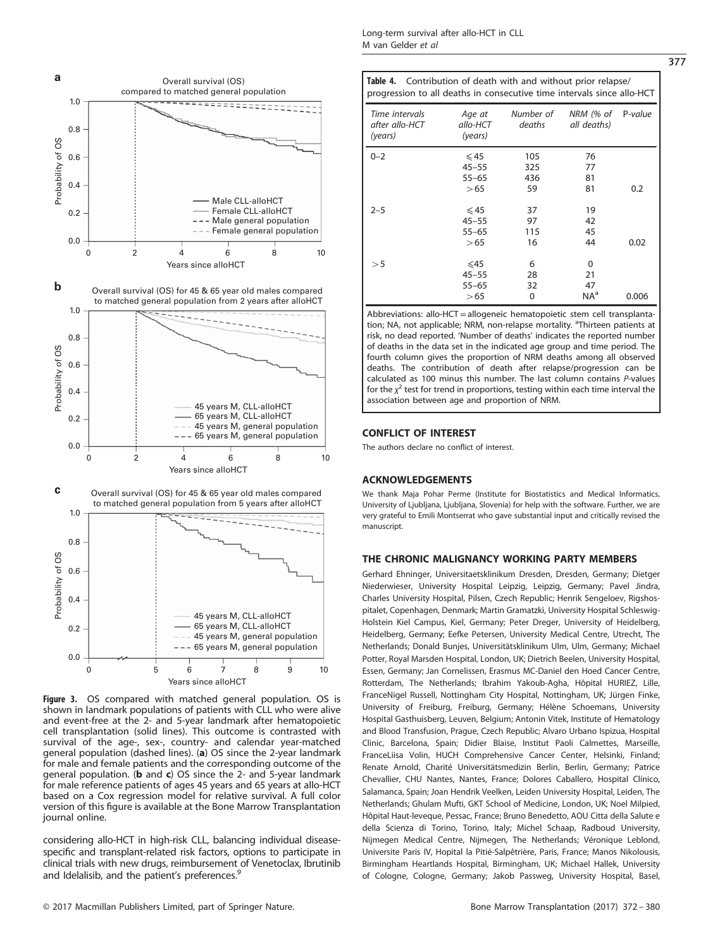<span id="page-5-0"></span>

Figure 3. OS compared with matched general population. OS is shown in landmark populations of patients with CLL who were alive and event-free at the 2- and 5-year landmark after hematopoietic cell transplantation (solid lines). This outcome is contrasted with survival of the age-, sex-, country- and calendar year-matched general population (dashed lines). (a) OS since the 2-year landmark for male and female patients and the corresponding outcome of the general population. ( $\mathbf b$  and  $\mathbf c$ ) OS since the 2- and 5-year landmark for male reference patients of ages 45 years and 65 years at allo-HCT based on a Cox regression model for relative survival. A full color version of this figure is available at the Bone Marrow Transplantation journal online.

considering allo-HCT in high-risk CLL, balancing individual diseasespecific and transplant-related risk factors, options to participate in clinical trials with new drugs, reimbursement of Venetoclax, Ibrutinib and Idelalisib, and the patient's preferences.<sup>[9](#page-7-0)</sup>

| Time intervals<br>after allo-HCT<br>(years) | Age at<br>allo-HCT<br>(years)                   | Number of<br>deaths     | NRM (% of<br>all deaths) | P-value |
|---------------------------------------------|-------------------------------------------------|-------------------------|--------------------------|---------|
| $0 - 2$                                     | $\leqslant$ 45<br>$45 - 55$<br>$55 - 65$<br>>65 | 105<br>325<br>436<br>59 | 76<br>77<br>81<br>81     | 0.2     |
| $2 - 5$                                     | $\leqslant$ 45<br>$45 - 55$<br>$55 - 65$<br>>65 | 37<br>97<br>115<br>16   | 19<br>42<br>45<br>44     | 0.02    |
| > 5                                         | $\leq 45$<br>$45 - 55$<br>$55 - 65$<br>> 65     | 6<br>28<br>32<br>0      | 0<br>21<br>47<br>$NA^a$  | 0.006   |

Abbreviations: allo-HCT =allogeneic hematopoietic stem cell transplantation; NA, not applicable; NRM, non-relapse mortality. <sup>a</sup>Thirteen patients at risk, no dead reported. 'Number of deaths' indicates the reported number of deaths in the data set in the indicated age group and time period. The fourth column gives the proportion of NRM deaths among all observed deaths. The contribution of death after relapse/progression can be calculated as 100 minus this number. The last column contains P-values for the  $\chi^2$  test for trend in proportions, testing within each time interval the association between age and proportion of NRM.

# CONFLICT OF INTEREST

The authors declare no conflict of interest.

## ACKNOWLEDGEMENTS

We thank Maja Pohar Perme (Institute for Biostatistics and Medical Informatics, University of Ljubljana, Ljubljana, Slovenia) for help with the software. Further, we are very grateful to Emili Montserrat who gave substantial input and critically revised the manuscript.

## THE CHRONIC MALIGNANCY WORKING PARTY MEMBERS

Gerhard Ehninger, Universitaetsklinikum Dresden, Dresden, Germany; Dietger Niederwieser, University Hospital Leipzig, Leipzig, Germany; Pavel Jindra, Charles University Hospital, Pilsen, Czech Republic; Henrik Sengeloev, Rigshospitalet, Copenhagen, Denmark; Martin Gramatzki, University Hospital Schleswig-Holstein Kiel Campus, Kiel, Germany; Peter Dreger, University of Heidelberg, Heidelberg, Germany; Eefke Petersen, University Medical Centre, Utrecht, The Netherlands; Donald Bunjes, Universitätsklinikum Ulm, Ulm, Germany; Michael Potter, Royal Marsden Hospital, London, UK; Dietrich Beelen, University Hospital, Essen, Germany; Jan Cornelissen, Erasmus MC-Daniel den Hoed Cancer Centre, Rotterdam, The Netherlands; Ibrahim Yakoub-Agha, Hôpital HURIEZ, Lille, FranceNigel Russell, Nottingham City Hospital, Nottingham, UK; Jürgen Finke, University of Freiburg, Freiburg, Germany; Hélène Schoemans, University Hospital Gasthuisberg, Leuven, Belgium; Antonin Vitek, Institute of Hematology and Blood Transfusion, Prague, Czech Republic; Alvaro Urbano Ispizua, Hospital Clinic, Barcelona, Spain; Didier Blaise, Institut Paoli Calmettes, Marseille, FranceLiisa Volin, HUCH Comprehensive Cancer Center, Helsinki, Finland; Renate Arnold, Charité Universitätsmedizin Berlin, Berlin, Germany; Patrice Chevallier, CHU Nantes, Nantes, France; Dolores Caballero, Hospital Clínico, Salamanca, Spain; Joan Hendrik Veelken, Leiden University Hospital, Leiden, The Netherlands; Ghulam Mufti, GKT School of Medicine, London, UK; Noel Milpied, Hôpital Haut-leveque, Pessac, France; Bruno Benedetto, AOU Citta della Salute e della Scienza di Torino, Torino, Italy; Michel Schaap, Radboud University, Nijmegen Medical Centre, Nijmegen, The Netherlands; Véronique Leblond, Universite Paris IV, Hopital la Pitié-Salpêtrière, Paris, France; Manos Nikolousis, Birmingham Heartlands Hospital, Birmingham, UK; Michael Hallek, University of Cologne, Cologne, Germany; Jakob Passweg, University Hospital, Basel,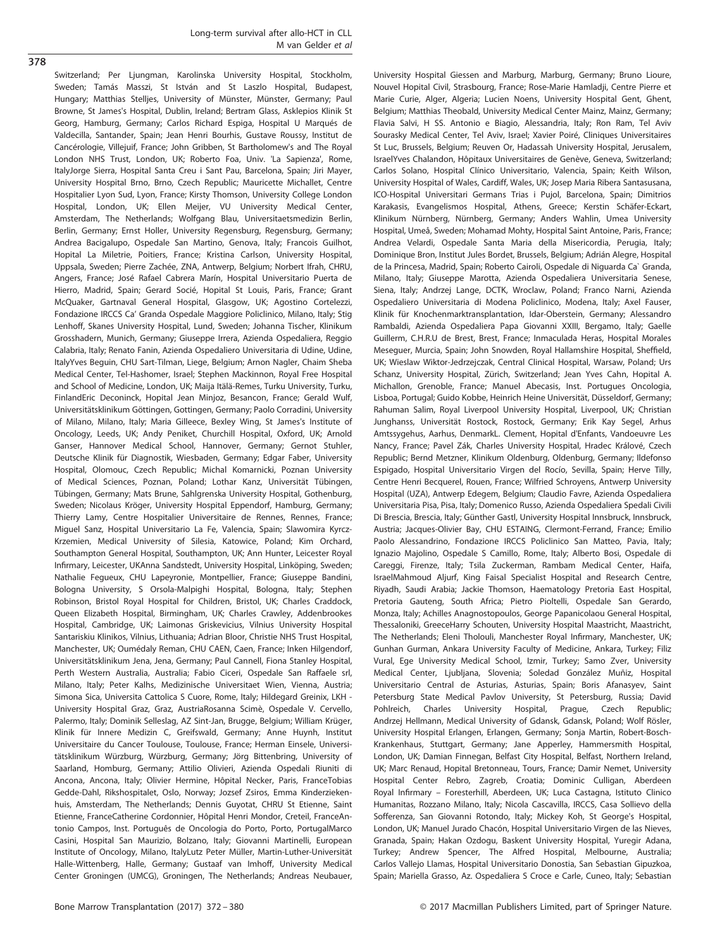378

Switzerland; Per Ljungman, Karolinska University Hospital, Stockholm, Sweden; Tamás Masszi, St István and St Laszlo Hospital, Budapest, Hungary; Matthias Stelljes, University of Münster, Münster, Germany; Paul Browne, St James's Hospital, Dublin, Ireland; Bertram Glass, Asklepios Klinik St Georg, Hamburg, Germany; Carlos Richard Espiga, Hospital U Marqués de Valdecilla, Santander, Spain; Jean Henri Bourhis, Gustave Roussy, Institut de Cancérologie, Villejuif, France; John Gribben, St Bartholomew's and The Royal London NHS Trust, London, UK; Roberto Foa, Univ. 'La Sapienza', Rome, ItalyJorge Sierra, Hospital Santa Creu i Sant Pau, Barcelona, Spain; Jiri Mayer, University Hospital Brno, Brno, Czech Republic; Mauricette Michallet, Centre Hospitalier Lyon Sud, Lyon, France; Kirsty Thomson, University College London Hospital, London, UK; Ellen Meijer, VU University Medical Center, Amsterdam, The Netherlands; Wolfgang Blau, Universitaetsmedizin Berlin, Berlin, Germany; Ernst Holler, University Regensburg, Regensburg, Germany; Andrea Bacigalupo, Ospedale San Martino, Genova, Italy; Francois Guilhot, Hopital La Miletrie, Poitiers, France; Kristina Carlson, University Hospital, Uppsala, Sweden; Pierre Zachée, ZNA, Antwerp, Belgium; Norbert Ifrah, CHRU, Angers, France; José Rafael Cabrera Marín, Hospital Universitario Puerta de Hierro, Madrid, Spain; Gerard Socié, Hopital St Louis, Paris, France; Grant McQuaker, Gartnaval General Hospital, Glasgow, UK; Agostino Cortelezzi, Fondazione IRCCS Ca' Granda Ospedale Maggiore Policlinico, Milano, Italy; Stig Lenhoff, Skanes University Hospital, Lund, Sweden; Johanna Tischer, Klinikum Grosshadern, Munich, Germany; Giuseppe Irrera, Azienda Ospedaliera, Reggio Calabria, Italy; Renato Fanin, Azienda Ospedaliero Universitaria di Udine, Udine, ItalyYves Beguin, CHU Sart-Tilman, Liege, Belgium; Arnon Nagler, Chaim Sheba Medical Center, Tel-Hashomer, Israel; Stephen Mackinnon, Royal Free Hospital and School of Medicine, London, UK; Maija Itälä-Remes, Turku University, Turku, FinlandEric Deconinck, Hopital Jean Minjoz, Besancon, France; Gerald Wulf, Universitätsklinikum Göttingen, Gottingen, Germany; Paolo Corradini, University of Milano, Milano, Italy; Maria Gilleece, Bexley Wing, St James's Institute of Oncology, Leeds, UK; Andy Peniket, Churchill Hospital, Oxford, UK; Arnold Ganser, Hannover Medical School, Hannover, Germany; Gernot Stuhler, Deutsche Klinik für Diagnostik, Wiesbaden, Germany; Edgar Faber, University Hospital, Olomouc, Czech Republic; Michal Komarnicki, Poznan University of Medical Sciences, Poznan, Poland; Lothar Kanz, Universität Tübingen, Tübingen, Germany; Mats Brune, Sahlgrenska University Hospital, Gothenburg, Sweden; Nicolaus Kröger, University Hospital Eppendorf, Hamburg, Germany; Thierry Lamy, Centre Hospitalier Universitaire de Rennes, Rennes, France; Miguel Sanz, Hospital Universitario La Fe, Valencia, Spain; Slawomira Kyrcz-Krzemien, Medical University of Silesia, Katowice, Poland; Kim Orchard, Southampton General Hospital, Southampton, UK; Ann Hunter, Leicester Royal Infirmary, Leicester, UKAnna Sandstedt, University Hospital, Linköping, Sweden; Nathalie Fegueux, CHU Lapeyronie, Montpellier, France; Giuseppe Bandini, Bologna University, S Orsola-Malpighi Hospital, Bologna, Italy; Stephen Robinson, Bristol Royal Hospital for Children, Bristol, UK; Charles Craddock, Queen Elizabeth Hospital, Birmingham, UK; Charles Crawley, Addenbrookes Hospital, Cambridge, UK; Laimonas Griskevicius, Vilnius University Hospital Santariskiu Klinikos, Vilnius, Lithuania; Adrian Bloor, Christie NHS Trust Hospital, Manchester, UK; Oumédaly Reman, CHU CAEN, Caen, France; Inken Hilgendorf, Universitätsklinikum Jena, Jena, Germany; Paul Cannell, Fiona Stanley Hospital, Perth Western Australia, Australia; Fabio Ciceri, Ospedale San Raffaele srl, Milano, Italy; Peter Kalhs, Medizinische Universitaet Wien, Vienna, Austria; Simona Sica, Universita Cattolica S Cuore, Rome, Italy; Hildegard Greinix, LKH - University Hospital Graz, Graz, AustriaRosanna Scimè, Ospedale V. Cervello, Palermo, Italy; Dominik Selleslag, AZ Sint-Jan, Brugge, Belgium; William Krüger, Klinik für Innere Medizin C, Greifswald, Germany; Anne Huynh, Institut Universitaire du Cancer Toulouse, Toulouse, France; Herman Einsele, Universitätsklinikum Würzburg, Würzburg, Germany; Jörg Bittenbring, University of Saarland, Homburg, Germany; Attilio Olivieri, Azienda Ospedali Riuniti di Ancona, Ancona, Italy; Olivier Hermine, Hôpital Necker, Paris, FranceTobias Gedde-Dahl, Rikshospitalet, Oslo, Norway; Jozsef Zsiros, Emma Kinderziekenhuis, Amsterdam, The Netherlands; Dennis Guyotat, CHRU St Etienne, Saint Etienne, FranceCatherine Cordonnier, Hôpital Henri Mondor, Creteil, FranceAntonio Campos, Inst. Português de Oncologia do Porto, Porto, PortugalMarco Casini, Hospital San Maurizio, Bolzano, Italy; Giovanni Martinelli, European Institute of Oncology, Milano, ItalyLutz Peter Müller, Martin-Luther-Universität Halle-Wittenberg, Halle, Germany; Gustaaf van Imhoff, University Medical Center Groningen (UMCG), Groningen, The Netherlands; Andreas Neubauer, University Hospital Giessen and Marburg, Marburg, Germany; Bruno Lioure, Nouvel Hopital Civil, Strasbourg, France; Rose-Marie Hamladji, Centre Pierre et Marie Curie, Alger, Algeria; Lucien Noens, University Hospital Gent, Ghent, Belgium; Matthias Theobald, University Medical Center Mainz, Mainz, Germany; Flavia Salvi, H SS. Antonio e Biagio, Alessandria, Italy; Ron Ram, Tel Aviv Sourasky Medical Center, Tel Aviv, Israel; Xavier Poiré, Cliniques Universitaires St Luc, Brussels, Belgium; Reuven Or, Hadassah University Hospital, Jerusalem, IsraelYves Chalandon, Hôpitaux Universitaires de Genève, Geneva, Switzerland; Carlos Solano, Hospital Clínico Universitario, Valencia, Spain; Keith Wilson, University Hospital of Wales, Cardiff, Wales, UK; Josep Maria Ribera Santasusana, ICO-Hospital Universitari Germans Trias i Pujol, Barcelona, Spain; Dimitrios Karakasis, Evangelismos Hospital, Athens, Greece; Kerstin Schäfer-Eckart, Klinikum Nürnberg, Nürnberg, Germany; Anders Wahlin, Umea University Hospital, Umeå, Sweden; Mohamad Mohty, Hospital Saint Antoine, Paris, France; Andrea Velardi, Ospedale Santa Maria della Misericordia, Perugia, Italy; Dominique Bron, Institut Jules Bordet, Brussels, Belgium; Adrián Alegre, Hospital de la Princesa, Madrid, Spain; Roberto Cairoli, Ospedale di Niguarda Ca` Granda, Milano, Italy; Giuseppe Marotta, Azienda Ospedaliera Universitaria Senese, Siena, Italy; Andrzej Lange, DCTK, Wroclaw, Poland; Franco Narni, Azienda Ospedaliero Universitaria di Modena Policlinico, Modena, Italy; Axel Fauser, Klinik für Knochenmarktransplantation, Idar-Oberstein, Germany; Alessandro Rambaldi, Azienda Ospedaliera Papa Giovanni XXIII, Bergamo, Italy; Gaelle Guillerm, C.H.R.U de Brest, Brest, France; Inmaculada Heras, Hospital Morales Meseguer, Murcia, Spain; John Snowden, Royal Hallamshire Hospital, Sheffield, UK; Wieslaw Wiktor-Jedrzejczak, Central Clinical Hospital, Warsaw, Poland; Urs Schanz, University Hospital, Zürich, Switzerland; Jean Yves Cahn, Hopital A. Michallon, Grenoble, France; Manuel Abecasis, Inst. Portugues Oncologia, Lisboa, Portugal; Guido Kobbe, Heinrich Heine Universität, Düsseldorf, Germany; Rahuman Salim, Royal Liverpool University Hospital, Liverpool, UK; Christian Junghanss, Universität Rostock, Rostock, Germany; Erik Kay Segel, Arhus Amtssygehus, Aarhus, DenmarkL. Clement, Hopital d'Enfants, Vandoeuvre Les Nancy, France; Pavel Zák, Charles University Hospital, Hradec Králové, Czech Republic; Bernd Metzner, Klinikum Oldenburg, Oldenburg, Germany; Ildefonso Espigado, Hospital Universitario Virgen del Rocío, Sevilla, Spain; Herve Tilly, Centre Henri Becquerel, Rouen, France; Wilfried Schroyens, Antwerp University Hospital (UZA), Antwerp Edegem, Belgium; Claudio Favre, Azienda Ospedaliera Universitaria Pisa, Pisa, Italy; Domenico Russo, Azienda Ospedaliera Spedali Civili Di Brescia, Brescia, Italy; Günther Gastl, University Hospital Innsbruck, Innsbruck, Austria; Jacques-Olivier Bay, CHU ESTAING, Clermont-Ferrand, France; Emilio Paolo Alessandrino, Fondazione IRCCS Policlinico San Matteo, Pavia, Italy; Ignazio Majolino, Ospedale S Camillo, Rome, Italy; Alberto Bosi, Ospedale di Careggi, Firenze, Italy; Tsila Zuckerman, Rambam Medical Center, Haifa, IsraelMahmoud Aljurf, King Faisal Specialist Hospital and Research Centre, Riyadh, Saudi Arabia; Jackie Thomson, Haematology Pretoria East Hospital, Pretoria Gauteng, South Africa; Pietro Pioltelli, Ospedale San Gerardo, Monza, Italy; Achilles Anagnostopoulos, George Papanicolaou General Hospital, Thessaloniki, GreeceHarry Schouten, University Hospital Maastricht, Maastricht, The Netherlands; Eleni Tholouli, Manchester Royal Infirmary, Manchester, UK; Gunhan Gurman, Ankara University Faculty of Medicine, Ankara, Turkey; Filiz Vural, Ege University Medical School, Izmir, Turkey; Samo Zver, University Medical Center, Ljubljana, Slovenia; Soledad González Muñiz, Hospital Universitario Central de Asturias, Asturias, Spain; Boris Afanasyev, Saint Petersburg State Medical Pavlov University, St Petersburg, Russia; David Pohlreich, Charles University Hospital, Prague, Czech Republic; Andrzej Hellmann, Medical University of Gdansk, Gdansk, Poland; Wolf Rösler, University Hospital Erlangen, Erlangen, Germany; Sonja Martin, Robert-Bosch-Krankenhaus, Stuttgart, Germany; Jane Apperley, Hammersmith Hospital, London, UK; Damian Finnegan, Belfast City Hospital, Belfast, Northern Ireland, UK; Marc Renaud, Hopital Bretonneau, Tours, France; Damir Nemet, University Hospital Center Rebro, Zagreb, Croatia; Dominic Culligan, Aberdeen Royal Infirmary – Foresterhill, Aberdeen, UK; Luca Castagna, Istituto Clinico Humanitas, Rozzano Milano, Italy; Nicola Cascavilla, IRCCS, Casa Sollievo della Sofferenza, San Giovanni Rotondo, Italy; Mickey Koh, St George's Hospital, London, UK; Manuel Jurado Chacón, Hospital Universitario Virgen de las Nieves, Granada, Spain; Hakan Ozdogu, Baskent University Hospital, Yuregir Adana, Turkey; Andrew Spencer, The Alfred Hospital, Melbourne, Australia; Carlos Vallejo Llamas, Hospital Universitario Donostia, San Sebastian Gipuzkoa, Spain; Mariella Grasso, Az. Ospedaliera S Croce e Carle, Cuneo, Italy; Sebastian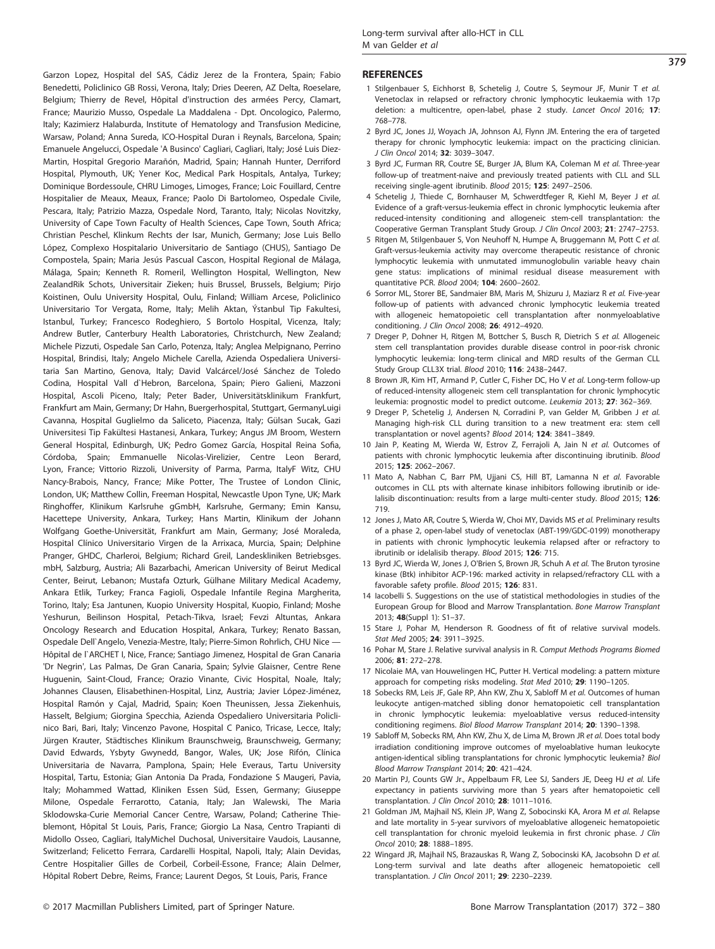379

<span id="page-7-0"></span>Garzon Lopez, Hospital del SAS, Cádiz Jerez de la Frontera, Spain; Fabio Benedetti, Policlinico GB Rossi, Verona, Italy; Dries Deeren, AZ Delta, Roeselare, Belgium; Thierry de Revel, Hôpital d'instruction des armées Percy, Clamart, France; Maurizio Musso, Ospedale La Maddalena - Dpt. Oncologico, Palermo, Italy; Kazimierz Halaburda, Institute of Hematology and Transfusion Medicine, Warsaw, Poland; Anna Sureda, ICO-Hospital Duran i Reynals, Barcelona, Spain; Emanuele Angelucci, Ospedale 'A Businco' Cagliari, Cagliari, Italy; José Luis Diez-Martin, Hospital Gregorio Marañón, Madrid, Spain; Hannah Hunter, Derriford Hospital, Plymouth, UK; Yener Koc, Medical Park Hospitals, Antalya, Turkey; Dominique Bordessoule, CHRU Limoges, Limoges, France; Loic Fouillard, Centre Hospitalier de Meaux, Meaux, France; Paolo Di Bartolomeo, Ospedale Civile, Pescara, Italy; Patrizio Mazza, Ospedale Nord, Taranto, Italy; Nicolas Novitzky, University of Cape Town Faculty of Health Sciences, Cape Town, South Africa; Christian Peschel, Klinkum Rechts der Isar, Munich, Germany; Jose Luis Bello López, Complexo Hospitalario Universitario de Santiago (CHUS), Santiago De Compostela, Spain; Maria Jesús Pascual Cascon, Hospital Regional de Málaga, Málaga, Spain; Kenneth R. Romeril, Wellington Hospital, Wellington, New ZealandRik Schots, Universitair Zieken; huis Brussel, Brussels, Belgium; Pirjo Koistinen, Oulu University Hospital, Oulu, Finland; William Arcese, Policlinico Universitario Tor Vergata, Rome, Italy; Melih Aktan, Ýstanbul Tip Fakultesi, Istanbul, Turkey; Francesco Rodeghiero, S Bortolo Hospital, Vicenza, Italy; Andrew Butler, Canterbury Health Laboratories, Christchurch, New Zealand; Michele Pizzuti, Ospedale San Carlo, Potenza, Italy; Anglea Melpignano, Perrino Hospital, Brindisi, Italy; Angelo Michele Carella, Azienda Ospedaliera Universitaria San Martino, Genova, Italy; David Valcárcel/José Sánchez de Toledo Codina, Hospital Vall d`Hebron, Barcelona, Spain; Piero Galieni, Mazzoni Hospital, Ascoli Piceno, Italy; Peter Bader, Universitätsklinikum Frankfurt, Frankfurt am Main, Germany; Dr Hahn, Buergerhospital, Stuttgart, GermanyLuigi Cavanna, Hospital Guglielmo da Saliceto, Piacenza, Italy; Gülsan Sucak, Gazi Universitesi Tip Fakültesi Hastanesi, Ankara, Turkey; Angus JM Broom, Western General Hospital, Edinburgh, UK; Pedro Gomez García, Hospital Reina Sofia, Córdoba, Spain; Emmanuelle Nicolas-Virelizier, Centre Leon Berard, Lyon, France; Vittorio Rizzoli, University of Parma, Parma, ItalyF Witz, CHU Nancy-Brabois, Nancy, France; Mike Potter, The Trustee of London Clinic, London, UK; Matthew Collin, Freeman Hospital, Newcastle Upon Tyne, UK; Mark Ringhoffer, Klinikum Karlsruhe gGmbH, Karlsruhe, Germany; Emin Kansu, Hacettepe University, Ankara, Turkey; Hans Martin, Klinikum der Johann Wolfgang Goethe-Universität, Frankfurt am Main, Germany; José Moraleda, Hospital Clínico Universitario Virgen de la Arrixaca, Murcia, Spain; Delphine Pranger, GHDC, Charleroi, Belgium; Richard Greil, Landeskliniken Betriebsges. mbH, Salzburg, Austria; Ali Bazarbachi, American University of Beirut Medical Center, Beirut, Lebanon; Mustafa Ozturk, Gülhane Military Medical Academy, Ankara Etlik, Turkey; Franca Fagioli, Ospedale Infantile Regina Margherita, Torino, Italy; Esa Jantunen, Kuopio University Hospital, Kuopio, Finland; Moshe Yeshurun, Beilinson Hospital, Petach-Tikva, Israel; Fevzi Altuntas, Ankara Oncology Research and Education Hospital, Ankara, Turkey; Renato Bassan, Ospedale Dell`Angelo, Venezia-Mestre, Italy; Pierre-Simon Rohrlich, CHU Nice — Hôpital de l`ARCHET I, Nice, France; Santiago Jimenez, Hospital de Gran Canaria 'Dr Negrin', Las Palmas, De Gran Canaria, Spain; Sylvie Glaisner, Centre Rene Huguenin, Saint-Cloud, France; Orazio Vinante, Civic Hospital, Noale, Italy; Johannes Clausen, Elisabethinen-Hospital, Linz, Austria; Javier López-Jiménez, Hospital Ramón y Cajal, Madrid, Spain; Koen Theunissen, Jessa Ziekenhuis, Hasselt, Belgium; Giorgina Specchia, Azienda Ospedaliero Universitaria Policlinico Bari, Bari, Italy; Vincenzo Pavone, Hospital C Panico, Tricase, Lecce, Italy; Jürgen Krauter, Städtisches Klinikum Braunschweig, Braunschweig, Germany; David Edwards, Ysbyty Gwynedd, Bangor, Wales, UK; Jose Rifón, Clínica Universitaria de Navarra, Pamplona, Spain; Hele Everaus, Tartu University Hospital, Tartu, Estonia; Gian Antonia Da Prada, Fondazione S Maugeri, Pavia, Italy; Mohammed Wattad, Kliniken Essen Süd, Essen, Germany; Giuseppe Milone, Ospedale Ferrarotto, Catania, Italy; Jan Walewski, The Maria Sklodowska-Curie Memorial Cancer Centre, Warsaw, Poland; Catherine Thieblemont, Hôpital St Louis, Paris, France; Giorgio La Nasa, Centro Trapianti di Midollo Osseo, Cagliari, ItalyMichel Duchosal, Universitaire Vaudois, Lausanne, Switzerland; Felicetto Ferrara, Cardarelli Hospital, Napoli, Italy; Alain Devidas, Centre Hospitalier Gilles de Corbeil, Corbeil-Essone, France; Alain Delmer, Hôpital Robert Debre, Reims, France; Laurent Degos, St Louis, Paris, France

# **REFERENCES**

- 1 Stilgenbauer S, Eichhorst B, Schetelig J, Coutre S, Seymour JF, Munir T et al. Venetoclax in relapsed or refractory chronic lymphocytic leukaemia with 17p deletion: a multicentre, open-label, phase 2 study. Lancet Oncol 2016; 17: 768–778.
- 2 Byrd JC, Jones JJ, Woyach JA, Johnson AJ, Flynn JM. Entering the era of targeted therapy for chronic lymphocytic leukemia: impact on the practicing clinician. J Clin Oncol 2014; 32: 3039–3047.
- 3 Byrd JC, Furman RR, Coutre SE, Burger JA, Blum KA, Coleman M et al. Three-year follow-up of treatment-naive and previously treated patients with CLL and SLL receiving single-agent ibrutinib. Blood 2015; 125: 2497–2506.
- 4 Schetelig J, Thiede C, Bornhauser M, Schwerdtfeger R, Kiehl M, Beyer J et al. Evidence of a graft-versus-leukemia effect in chronic lymphocytic leukemia after reduced-intensity conditioning and allogeneic stem-cell transplantation: the Cooperative German Transplant Study Group. J Clin Oncol 2003; 21: 2747–2753.
- 5 Ritgen M, Stilgenbauer S, Von Neuhoff N, Humpe A, Bruggemann M, Pott C et al. Graft-versus-leukemia activity may overcome therapeutic resistance of chronic lymphocytic leukemia with unmutated immunoglobulin variable heavy chain gene status: implications of minimal residual disease measurement with quantitative PCR. Blood 2004; 104: 2600–2602.
- 6 Sorror ML, Storer BE, Sandmaier BM, Maris M, Shizuru J, Maziarz R et al. Five-year follow-up of patients with advanced chronic lymphocytic leukemia treated with allogeneic hematopoietic cell transplantation after nonmyeloablative conditioning. J Clin Oncol 2008; 26: 4912–4920.
- 7 Dreger P, Dohner H, Ritgen M, Bottcher S, Busch R, Dietrich S et al. Allogeneic stem cell transplantation provides durable disease control in poor-risk chronic lymphocytic leukemia: long-term clinical and MRD results of the German CLL Study Group CLL3X trial. Blood 2010; 116: 2438–2447.
- 8 Brown JR, Kim HT, Armand P, Cutler C, Fisher DC, Ho V et al. Long-term follow-up of reduced-intensity allogeneic stem cell transplantation for chronic lymphocytic leukemia: prognostic model to predict outcome. Leukemia 2013; 27: 362–369.
- 9 Dreger P, Schetelig J, Andersen N, Corradini P, van Gelder M, Gribben J et al. Managing high-risk CLL during transition to a new treatment era: stem cell transplantation or novel agents? Blood 2014; 124: 3841–3849.
- 10 Jain P, Keating M, Wierda W, Estrov Z, Ferrajoli A, Jain N et al. Outcomes of patients with chronic lymphocytic leukemia after discontinuing ibrutinib. Blood 2015; 125: 2062–2067.
- 11 Mato A, Nabhan C, Barr PM, Ujjani CS, Hill BT, Lamanna N et al. Favorable outcomes in CLL pts with alternate kinase inhibitors following ibrutinib or idelalisib discontinuation: results from a large multi-center study. Blood 2015; 126: 719.
- 12 Jones J, Mato AR, Coutre S, Wierda W, Choi MY, Davids MS et al. Preliminary results of a phase 2, open-label study of venetoclax (ABT-199/GDC-0199) monotherapy in patients with chronic lymphocytic leukemia relapsed after or refractory to ibrutinib or idelalisib therapy. Blood 2015; 126: 715.
- 13 Byrd JC, Wierda W, Jones J, O'Brien S, Brown JR, Schuh A et al. The Bruton tyrosine kinase (Btk) inhibitor ACP-196: marked activity in relapsed/refractory CLL with a favorable safety profile. Blood 2015; 126: 831.
- 14 Iacobelli S. Suggestions on the use of statistical methodologies in studies of the European Group for Blood and Marrow Transplantation. Bone Marrow Transplant 2013; 48(Suppl 1): S1–37.
- 15 Stare J, Pohar M, Henderson R. Goodness of fit of relative survival models. Stat Med 2005; 24: 3911–3925.
- 16 Pohar M, Stare J. Relative survival analysis in R. Comput Methods Programs Biomed 2006; 81: 272–278.
- 17 Nicolaie MA, van Houwelingen HC, Putter H. Vertical modeling: a pattern mixture approach for competing risks modeling. Stat Med 2010; 29: 1190-1205.
- 18 Sobecks RM, Leis JF, Gale RP, Ahn KW, Zhu X, Sabloff M et al. Outcomes of human leukocyte antigen-matched sibling donor hematopoietic cell transplantation in chronic lymphocytic leukemia: myeloablative versus reduced-intensity conditioning regimens. Biol Blood Marrow Transplant 2014; 20: 1390–1398.
- 19 Sabloff M, Sobecks RM, Ahn KW, Zhu X, de Lima M, Brown JR et al. Does total body irradiation conditioning improve outcomes of myeloablative human leukocyte antigen-identical sibling transplantations for chronic lymphocytic leukemia? Biol Blood Marrow Transplant 2014; 20: 421–424.
- 20 Martin PJ, Counts GW Jr., Appelbaum FR, Lee SJ, Sanders JE, Deeg HJ et al. Life expectancy in patients surviving more than 5 years after hematopoietic cell transplantation. J Clin Oncol 2010; 28: 1011–1016.
- 21 Goldman JM, Majhail NS, Klein JP, Wang Z, Sobocinski KA, Arora M et al. Relapse and late mortality in 5-year survivors of myeloablative allogeneic hematopoietic cell transplantation for chronic myeloid leukemia in first chronic phase. J Clin Oncol 2010; 28: 1888–1895.
- 22 Wingard JR, Majhail NS, Brazauskas R, Wang Z, Sobocinski KA, Jacobsohn D et al. Long-term survival and late deaths after allogeneic hematopoietic cell transplantation. J Clin Oncol 2011; 29: 2230–2239.